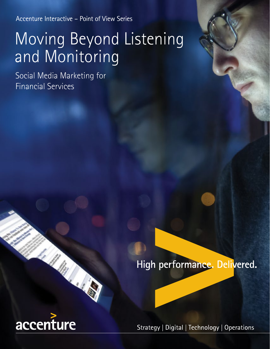Accenture Interactive – Point of View Series

# Moving Beyond Listening and Monitoring

Social Media Marketing for Financial Services

High performance. Delivered.



Strategy | Digital | Technology | Operations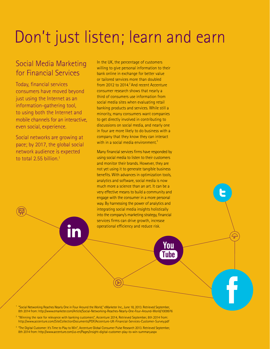# Don't just listen; learn and earn

## Social Media Marketing for Financial Services

Today, financial services consumers have moved beyond just using the Internet as an information-gathering tool, to using both the Internet and mobile channels for an interactive, even social, experience.

Social networks are growing at pace; by 2017, the global social network audience is expected to total 2.55 billion.<sup>1</sup>

In the UK, the percentage of customers willing to give personal information to their bank online in exchange for better value or tailored services more than doubled from 2012 to 2014. $^2$  And recent Accenture consumer research shows that nearly a third of consumers use information from social media sites when evaluating retail banking products and services. While still a minority, many consumers want companies to get directly involved in contributing to discussions on social media, and nearly one in four are more likely to do business with a company that they know they can interact with in a social media environment. $3$ 

Many financial services firms have responded by using social media to listen to their customers and monitor their brands. However, they are not yet using it to generate tangible business benefits. With advances in optimization tools, analytics and software, social media is now much more a science than an art. It can be a very effective means to build a community and engage with the consumer in a more personal way. By harnessing the power of analytics and integrating social media insights holistically into the company's marketing strategy, financial services firms can drive growth, increase operational efficiency and reduce risk.

> You **Tube**

1 "Social Networking Reaches Nearly One in Four Around the World," eMarketer Inc., June 18, 2013. Retrieved September, 8th 2014 from: http://www.emarketer.com/Article/Social-Networking-Reaches-Nearly-One-Four-Around-World/1009976

( စ-

<sup>2</sup> "Winning the race for relevance with banking customers", Accenture 2014, Retrieved September, 8th 2014 from: http://www.accenture.com/SiteCollectionDocuments/PDF/Accenture-UK-Financial-Services-Customer-Survey.pdf

in

<sup>3</sup> "The Digital Customer: It's Time to Play to Win", Accenture Global Consumer Pulse Research 2013. Retrieved September, 8th 2014 from: http://www.accenture.com/us-en/Pages/insight-digital-customer-play-to-win-summary.aspx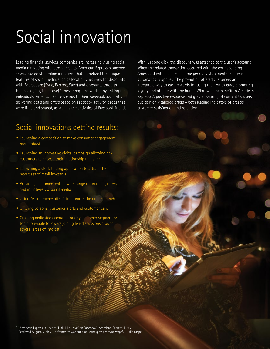# Social innovation

Leading financial services companies are increasingly using social media marketing with strong results. American Express pioneered several successful online initiatives that monetized the unique features of social media, such as location check-ins for discounts with Foursquare (Sync, Explore, Save) and discounts through Facebook (Link, Like, Love).<sup>4</sup> These programs worked by linking the individuals' American Express cards to their Facebook account and delivering deals and offers based on Facebook activity, pages that were liked and shared, as well as the activities of Facebook friends. With just one click, the discount was attached to the user's account. When the related transaction occurred with the corresponding Amex card within a specific time period, a statement credit was automatically applied. The promotion offered customers an integrated way to earn rewards for using their Amex card, promoting loyalty and affinity with the brand. What was the benefit to American Express? A positive response and greater sharing of content by users due to highly tailored offers – both leading indicators of greater customer satisfaction and retention.

## Social innovations getting results:

- Launching a competition to make consumer engagement more robust
- Launching an innovative digital campaign allowing new customers to choose their relationship manager
- Launching a stock trading application to attract the new class of retail investors
- Providing customers with a wide range of products, offers, and initiatives via social media
- Using "e-commerce offers" to promote the online branch
- Offering personal customer alerts and customer care
- Creating dedicated accounts for any customer segment or topic to enable followers joining live discussions around several areas of interest.

4 "American Express Launches "Link, Like, Love" on Facebook", American Express, July 2011. Retrieved August, 28th 2014 from:http://about.americanexpress.com/news/pr/2011/link.aspx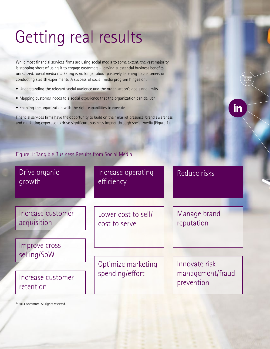# Getting real results

While most financial services firms are using social media to some extent, the vast majority is stopping short of using it to engage customers – leaving substantial business benefits unrealized. Social media marketing is no longer about passively listening to customers or conducting stealth experiments. A successful social media program hinges on:

- Understanding the relevant social audience and the organization's goals and limits
- Mapping customer needs to a social experience that the organization can deliver
- Enabling the organization with the right capabilities to execute.

Financial services firms have the opportunity to build on their market presence, brand awareness and marketing expertise to drive significant business impact through social media (Figure 1).

## Figure 1: Tangible Business Results from Social Media

| Drive organic<br>growth                           | Increase operating<br>efficiency      | Reduce risks                                    |
|---------------------------------------------------|---------------------------------------|-------------------------------------------------|
| Increase customer<br>acquisition<br>Improve cross | Lower cost to sell/<br>cost to serve  | Manage brand<br>reputation                      |
| selling/SoW<br>Increase customer<br>retention     | Optimize marketing<br>spending/effort | Innovate risk<br>management/fraud<br>prevention |

in

© 2014 Accenture. All rights reserved.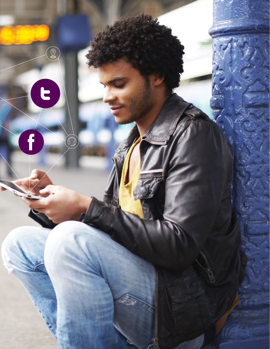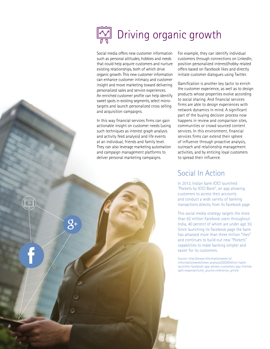# Driving organic growth

Social media offers new customer information such as personal attitudes, hobbies and needs that could help acquire customers and nurture existing relationships, both of which drive organic growth. This new customer information can enhance customer intimacy and customer insight and move marketing toward delivering personalized sales and service experiences. An enriched customer profile can help identify sweet spots in existing segments, select microtargets and launch personalized cross selling and acquisition campaigns.

In this way financial services firms can gain actionable insight on customer needs (using such techniques as interest graph analysis and activity feed analysis) and life events at an individual, friends and family level. They can also leverage marketing automation and campaign management platforms to deliver personal marketing campaigns.

For example, they can identify individual customers through connections on LinkedIn, position personalized interest/hobby related offers based on Facebook likes and directly initiate customer dialogues using Twitter.

Gamification is another key tactic to enrich the customer experience, as well as to design products whose properties evolve according to social sharing. And financial services firms are able to design experiences with network dynamics in mind. A significant part of the buying decision process now happens in review and comparison sites, communities or crowd sourced content services. In this environment, financial services firms can extend their sphere of influence through proactive analysis, outreach and relationship management activities, and by enticing loyal customers to spread their influence.

## Social In Action

In 2013, Indian bank ICICI launched "Pockets by ICICI Bank", an app allowing customers to access their accounts and conduct a wide variety of banking transactions directly from its Facebook page.

This social media strategy targets the more than 82 million Facebook users throughout India, 40 percent of whom are under age 30. Since launching its Facebook page the bank has amassed more than three million "likes" and continues to build out new "Pockets" capabilities to make banking simpler and easier for its customers.

Source: [http://www.informationweek.in/](http://www.informationweek.in/informationweek/news-analysis/282804/icici-bank-launches-facebook-app-allows-customers-pay-friends-split-expenses?utm_source=reference_article) [informationweek/news-analysis/282804/icici-bank](http://www.informationweek.in/informationweek/news-analysis/282804/icici-bank-launches-facebook-app-allows-customers-pay-friends-split-expenses?utm_source=reference_article)[launches-facebook-app-allows-customers-pay-friends](http://www.informationweek.in/informationweek/news-analysis/282804/icici-bank-launches-facebook-app-allows-customers-pay-friends-split-expenses?utm_source=reference_article)[split-expenses?utm\\_source=reference\\_article](http://www.informationweek.in/informationweek/news-analysis/282804/icici-bank-launches-facebook-app-allows-customers-pay-friends-split-expenses?utm_source=reference_article)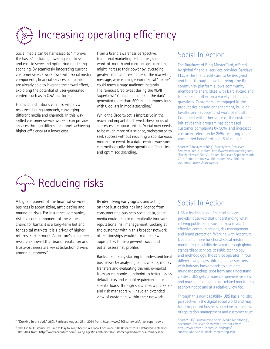

Social media can be harnessed to "improve the basics" including lowering cost to sell and cost to serve and optimizing marketing spending. By seamlessly integrating current customer service workflows with social media components, financial services companies are already able to leverage the crowd effect, exploiting the potential of user-generated content such as in Q&A platforms.

Financial institutions can also employ a resource sharing approach, converging different media and channels. In this way skilled customer service workers can provide services through different channels achieving higher efficiency at a lower cost.

From a brand awareness perspective, traditional marketing techniques, such as word-of-mouth and member-get-member, might increase their power by leveraging greater reach and resonance of the marketing message, where a single commercial "meme" could reach a huge audience instantly. The famous Oreo tweet during the XLVII Superbowl "You can still dunk in the dark" generated more than 500 million impressions with 0 dollars in media spending.<sup>5</sup>

While the Oreo tweet is impressive in the reach and impact it achieved, these kinds of successes are opportunistic. Social now needs to be much more of a science, orchestrated to seek success without requiring a spontaneous moment or event. In a data-centric way, social can methodically drive operating efficiencies and optimized spending.

## Social In Action

The Barclaycard Ring MasterCard, offered by global financial services provider Barclays PLC, is the first credit card to be designed and built through crowdsourcing. The Ring community platform allows community members to share ideas with Barclaycard and to help each other on a variety of financial questions. Customers are engaged in the product design and enhancement, building loyalty, peer-support and word of mouth. Combined with other voice of the customer initiatives this program has decreased customer complaints by 50%, and increased customer retention by 25%, resulting in an annualized benefit of over \$10 million.

Source: "Barclaycard Ring", Barclaycard, Retrieved September 8th 2014 from: <http://www.barclaycardring.com/> "The Barclaycard Story", Lithium. Retrieved September, 8th 2014 from: [http://www.lithium.com/why-lithium/](http://www.lithium.com/why-lithium/customer-success/barclaycard) [customer-success/barclaycard](http://www.lithium.com/why-lithium/customer-success/barclaycard)

## $\curvearrowleft$  Reducing risks

A big component of the financial services business is about sizing, anticipating and managing risks. For insurance companies, risk is a core component of the value chain; for banks it is a long-term bet and for capital markets it is a driver of higher returns. Furthermore, Accenture's consumer research showed that brand reputation and trustworthiness are key satisfaction drivers among customers.<sup>6</sup>

By identifying early signals and acting on (not just gathering) intelligence from consumer and business social data, social media could help to dramatically innovate reputational risk management. Looking at the customer within this broader network of relationships would introduce new approaches to help prevent fraud and better assess risk profiles.

Banks are already starting to understand local businesses by analyzing bill payments, money transfers and evaluating the micro-market from an economic standpoint to better assess default risks and capital requirements for specific loans. Through social media marketers and risk managers will have an extended view of customers within their network.

## Social In Action

UBS, a leading global financial services provider, observed that understanding what is being published in social media is vital to effective communications, risk management and brand protection. Working with Accenture, UBS built a more functional social media monitoring capability delivered through global standardized services, scalable technology and methodology. The service operates in four different languages utilizing native speakers with industry backgrounds to eliminate mundane postings, spot irony and understand context. UBS gets a more comprehensive view and may conduct campaign-related monitoring at short notice and at a relatively low fee.

Through this new capability, UBS has a holistic perspective in the digital social world and may fulfill important business objectives in the area of reputation management and customer trust.

Source: "UBS: Outsourcing Social Media Monitoring", Accenture. Retrieved September, 8th 2014 from: [http://www.accenture.com/us-en/Pages/](http://www.accenture.com/us-en/Pages/success-ubs-social-media-monitoring.aspx) [success-ubs-social-media-monitoring.aspx](http://www.accenture.com/us-en/Pages/success-ubs-social-media-monitoring.aspx) 

<sup>5</sup> "Dunking in the dark", 360i, Retrieved August, 28th 2014 from: http://www.360i.com/work/oreo-super-bowl/

<sup>6</sup> "The Digital Customer: It's Time to Play to Win", Accenture Global Consumer Pulse Research 2013. Retrieved September, 8th 2014 from: http://www.accenture.com/us-en/Pages/insight-digital-customer-play-to-win-summary.aspx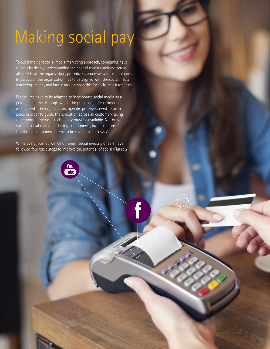# Making social pay

To build the right social media marketing approach, companies have to start by deeply understanding their social media readiness across all aspects of the organization, procedures, processes and technologies. In particular, the organization has to be aligned with the social media marketing strategy and have a group responsible for social media activities.

Procedures have to be adapted to incorporate social media as a possible channel through which the prospect and customer can interact with the organization. Specific processes need to be in place in order to guide the execution across all customer-facing touchpoints. The right technology must be available. Not only specific social media marketing components, but also more traditional components need to be social media "ready".

While every journey will be different, social media pioneers have followed four basic steps to improve the potential of social (Figure 2).

> You **Tube**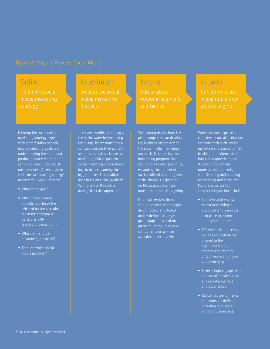## Define

Define the social

## Experiment

Execute the social

## Extend

Add targeted and tactics

## Expand

Transform social media into a new

Defining the social media marketing strategy begins with identification of social media marketing goals, and understanding the brand and product characteristics that can drive value in the social media context. A personalized social media marketing strategy answers four key questions:

- What is the goal?
- Which tactic is more suitable to achieve the selected business results given the company's particular DNA (e.g. brand perception)?
- Who are the target customers/ prospects?
- Through which social media platform?

There are benefits to dipping a the plunge. By experimenting a company reduces IT investment and runs a simple social media marketing pilot to gain the overall marketing organization's buy-in before planning the bigger moves. This could be done based on already available technology or through a managed service approach.

With strong results from the pilot, companies can develop the business case to extend the social media marketing approach. This may involve broadening programs into additional targeted segments, expanding the number of tactics utilized or adding new social channels, depending on the targeted business outcomes the firm is targeting.

Financial services firms should do deep technological due diligence and, based on the defined strategic goal, adapt the social media platform, introducing new components or services available in the market.

When the due diligence is complete, financial institutions can scale their social media marketing strategies and may be able to transform social into a new growth engine. A scaled program has numerous components from listening and planning to engaging and measuring. Key prerequisites for successful expansion include:

- Full-time active social media monitoring is underway and a process is in place to inform strategy and tactics.
- Efficient social processes, policies and actions are aligned to the organization's digital strategy and there is enterprise-level funding and ownership
- There is high engagement and social activity across all desired properties and experiences
- Robust key performance indicators are defined, including both social and business metrics.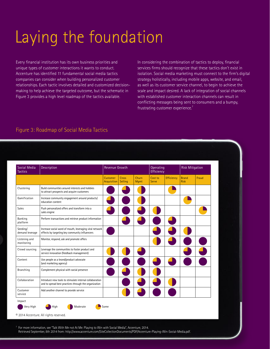# Laying the foundation

Every financial institution has its own business priorities and unique types of customer interactions it wants to conduct. Accenture has identified 11 fundamental social media tactics companies can consider when building personalized customer relationships. Each tactic involves detailed and customized decisionmaking to help achieve the targeted outcome, but the schematic in Figure 3 provides a high level roadmap of the tactics available.

In considering the combination of tactics to deploy, financial services firms should recognize that these tactics don't exist in isolation. Social media marketing must connect to the firm's digital strategy holistically, including mobile apps, website, and email, as well as its customer service channel, to begin to achieve the scale and impact desired. A lack of integration of social channels with established customer interaction channels can result in conflicting messages being sent to consumers and a bumpy, frustrating customer experience.<sup>7</sup>

### Figure 3: Roadmap of Social Media Tactics

| Social Media<br><b>Tactics</b> | Description                                                                                                      | <b>Revenue Growth</b>          |                         |               | Operating<br>Efficiency |            | <b>Risk Mitigation</b>      |              |
|--------------------------------|------------------------------------------------------------------------------------------------------------------|--------------------------------|-------------------------|---------------|-------------------------|------------|-----------------------------|--------------|
|                                |                                                                                                                  | <b>Customer</b><br>Acquisition | <b>Cross</b><br>Selling | Churn<br>Mgmt | Cost to<br>Serve        | Efficiency | <b>Brand</b><br><b>Risk</b> | <b>Fraud</b> |
| Clustering                     | Build communities around interests and hobbies<br>to attract prospects and acquire customers                     |                                |                         |               |                         |            |                             |              |
| Gamification                   | Increase community engagement around products/<br>education content                                              |                                |                         |               |                         |            |                             |              |
| <b>Sales</b>                   | Push personalized offers and transform into a<br>sales engine                                                    |                                |                         |               |                         |            |                             |              |
| Banking<br>platform            | Perform transactions and retrieve product information                                                            |                                |                         |               |                         |            |                             |              |
| Seeding/<br>demand leverage    | Increase social word of mouth, leveraging viral network<br>effects by targeting key community influencers        |                                |                         |               |                         |            |                             |              |
| Listening and<br>monitoring    | Monitor, respond, ask and promote offers                                                                         |                                |                         |               |                         |            |                             |              |
| Crowd sourcing                 | Leverage the communities to foster product and<br>service innovation (feedback management)                       |                                |                         |               |                         |            |                             |              |
| Content                        | Use people as a brand/product advocate<br>(and marketing agency)                                                 |                                |                         |               |                         |            |                             |              |
| <b>Branching</b>               | Complement physical with social presence                                                                         |                                |                         |               |                         |            |                             |              |
| Collaboration                  | Introduce new tools to stimulate internal collaboration<br>and to spread best practices through the organization |                                |                         |               |                         |            |                             |              |
| Customer<br>service            | Add another channel to provide service                                                                           |                                |                         |               |                         |            |                             |              |

For more information, see "Talk With Me not At Me: Playing to Win with Social Media", Accenture, 2014.

Retrieved September, 8th 2014 from: http://www.accenture.com/SiteCollectionDocuments/PDF/Accenture-Playing-Win-Social-Media.pdf.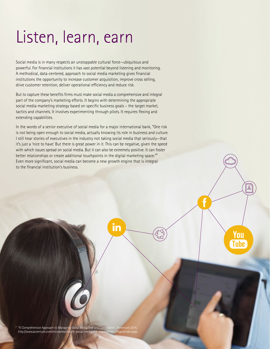# Listen, learn, earn

Social media is in many respects an unstoppable cultural force—ubiquitous and powerful. For financial institutions it has vast potential beyond listening and monitoring. A methodical, data-centered, approach to social media marketing gives financial institutions the opportunity to increase customer acquisition, improve cross selling, drive customer retention, deliver operational efficiency and reduce risk.

But to capture these benefits firms must make social media a comprehensive and integral part of the company's marketing efforts. It begins with determining the appropriate social media marketing strategy based on specific business goals – the target market, tactics and channels. It involves experimenting through pilots. It requires flexing and extending capabilities.

In the words of a senior executive of social media for a major international bank, "One risk is not being open enough to social media, actually knowing its role in business and culture. I still hear stories of executives in the industry not taking social media that seriously—that it's just a 'nice to have.' But there is great power in it. This can be negative, given the speed with which issues spread on social media. But it can also be extremely positive. It can foster better relationships or create additional touchpoints in the digital marketing space."<sup>8</sup> Even more significant, social media can become a new growth engine that is integral to the financial institution's business.

in

 $\overline{Q}$ 

You

<sup>8</sup> "A Comprehensive Approach to Managing Social Media Risk and Compliance", Accenture 2014, http://www.accenture.com/microsites/insight-social-media-risk-management/Pages/index.aspx